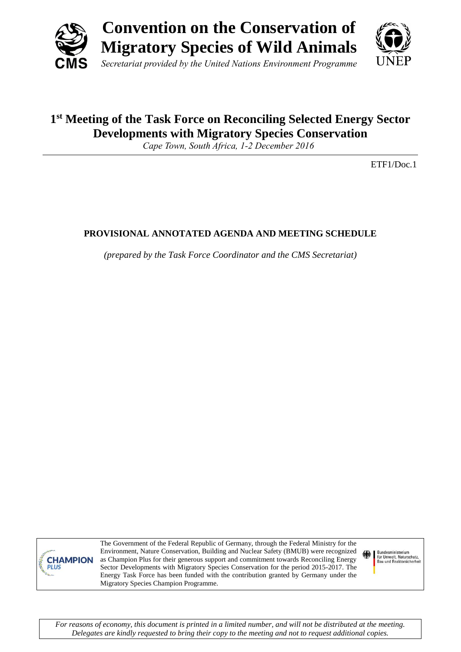



## **1 st Meeting of the Task Force on Reconciling Selected Energy Sector Developments with Migratory Species Conservation**

*Cape Town, South Africa, 1-2 December 2016*

ETF1/Doc.1

## **PROVISIONAL ANNOTATED AGENDA AND MEETING SCHEDULE**

*(prepared by the Task Force Coordinator and the CMS Secretariat)*



The Government of the Federal Republic of Germany, through the Federal Ministry for the Environment, Nature Conservation, Building and Nuclear Safety (BMUB) were recognized as Champion Plus for their generous support and commitment towards Reconciling Energy Sector Developments with Migratory Species Conservation for the period 2015-2017. The Energy Task Force has been funded with the contribution granted by Germany under the Migratory Species Champion Programme.

Bundesministerium<br>für Umwelt, Naturschutz,<br>Bau und Reaktorsicherheit

*For reasons of economy, this document is printed in a limited number, and will not be distributed at the meeting. Delegates are kindly requested to bring their copy to the meeting and not to request additional copies.*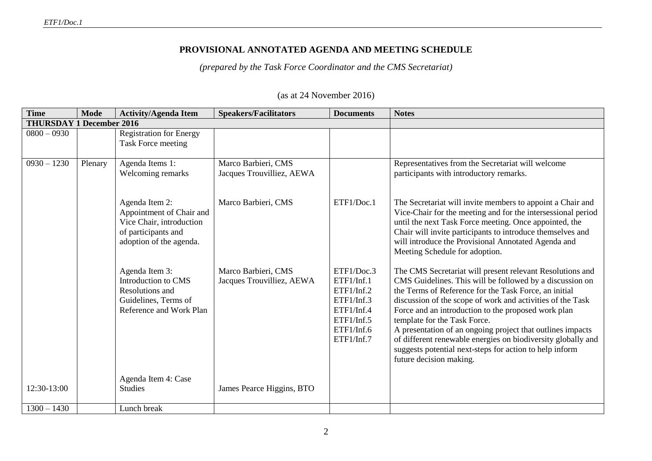## **PROVISIONAL ANNOTATED AGENDA AND MEETING SCHEDULE**

*(prepared by the Task Force Coordinator and the CMS Secretariat)*

| <b>Time</b>   | <b>Mode</b>                     | <b>Activity/Agenda Item</b>                                                                                              | <b>Speakers/Facilitators</b>                     | <b>Documents</b>                                                                                             | <b>Notes</b>                                                                                                                                                                                                                                                                                                                                                                                                                                                                                                                                            |  |
|---------------|---------------------------------|--------------------------------------------------------------------------------------------------------------------------|--------------------------------------------------|--------------------------------------------------------------------------------------------------------------|---------------------------------------------------------------------------------------------------------------------------------------------------------------------------------------------------------------------------------------------------------------------------------------------------------------------------------------------------------------------------------------------------------------------------------------------------------------------------------------------------------------------------------------------------------|--|
|               | <b>THURSDAY 1 December 2016</b> |                                                                                                                          |                                                  |                                                                                                              |                                                                                                                                                                                                                                                                                                                                                                                                                                                                                                                                                         |  |
| $0800 - 0930$ |                                 | <b>Registration for Energy</b><br>Task Force meeting                                                                     |                                                  |                                                                                                              |                                                                                                                                                                                                                                                                                                                                                                                                                                                                                                                                                         |  |
| $0930 - 1230$ | Plenary                         | Agenda Items 1:<br>Welcoming remarks                                                                                     | Marco Barbieri, CMS<br>Jacques Trouvilliez, AEWA |                                                                                                              | Representatives from the Secretariat will welcome<br>participants with introductory remarks.                                                                                                                                                                                                                                                                                                                                                                                                                                                            |  |
|               |                                 | Agenda Item 2:<br>Appointment of Chair and<br>Vice Chair, introduction<br>of participants and<br>adoption of the agenda. | Marco Barbieri, CMS                              | ETF1/Doc.1                                                                                                   | The Secretariat will invite members to appoint a Chair and<br>Vice-Chair for the meeting and for the intersessional period<br>until the next Task Force meeting. Once appointed, the<br>Chair will invite participants to introduce themselves and<br>will introduce the Provisional Annotated Agenda and<br>Meeting Schedule for adoption.                                                                                                                                                                                                             |  |
|               |                                 | Agenda Item 3:<br>Introduction to CMS<br>Resolutions and<br>Guidelines, Terms of<br>Reference and Work Plan              | Marco Barbieri, CMS<br>Jacques Trouvilliez, AEWA | ETF1/Doc.3<br>ETF1/Inf.1<br>ETF1/Inf.2<br>ETF1/Inf.3<br>ETF1/Inf.4<br>ETF1/Inf.5<br>ETF1/Inf.6<br>ETF1/Inf.7 | The CMS Secretariat will present relevant Resolutions and<br>CMS Guidelines. This will be followed by a discussion on<br>the Terms of Reference for the Task Force, an initial<br>discussion of the scope of work and activities of the Task<br>Force and an introduction to the proposed work plan<br>template for the Task Force.<br>A presentation of an ongoing project that outlines impacts<br>of different renewable energies on biodiversity globally and<br>suggests potential next-steps for action to help inform<br>future decision making. |  |
| 12:30-13:00   |                                 | Agenda Item 4: Case<br><b>Studies</b>                                                                                    | James Pearce Higgins, BTO                        |                                                                                                              |                                                                                                                                                                                                                                                                                                                                                                                                                                                                                                                                                         |  |
| $1300 - 1430$ |                                 | Lunch break                                                                                                              |                                                  |                                                                                                              |                                                                                                                                                                                                                                                                                                                                                                                                                                                                                                                                                         |  |

## (as at 24 November 2016)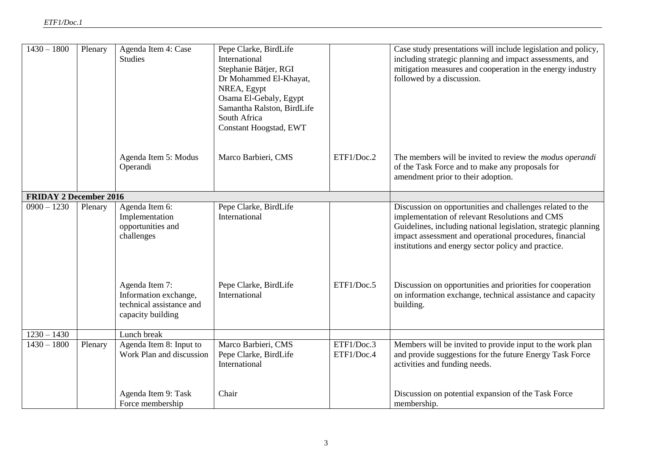| $1430 - 1800$                 | Plenary | Agenda Item 4: Case<br><b>Studies</b>                                                    | Pepe Clarke, BirdLife<br>International<br>Stephanie Bätjer, RGI<br>Dr Mohammed El-Khayat,<br>NREA, Egypt<br>Osama El-Gebaly, Egypt<br>Samantha Ralston, BirdLife<br>South Africa<br>Constant Hoogstad, EWT |                          | Case study presentations will include legislation and policy,<br>including strategic planning and impact assessments, and<br>mitigation measures and cooperation in the energy industry<br>followed by a discussion.                                                                            |
|-------------------------------|---------|------------------------------------------------------------------------------------------|------------------------------------------------------------------------------------------------------------------------------------------------------------------------------------------------------------|--------------------------|-------------------------------------------------------------------------------------------------------------------------------------------------------------------------------------------------------------------------------------------------------------------------------------------------|
|                               |         | Agenda Item 5: Modus<br>Operandi                                                         | Marco Barbieri, CMS                                                                                                                                                                                        | ETF1/Doc.2               | The members will be invited to review the <i>modus operandi</i><br>of the Task Force and to make any proposals for<br>amendment prior to their adoption.                                                                                                                                        |
| <b>FRIDAY 2 December 2016</b> |         |                                                                                          |                                                                                                                                                                                                            |                          |                                                                                                                                                                                                                                                                                                 |
| $0900 - 1230$                 | Plenary | Agenda Item 6:<br>Implementation<br>opportunities and<br>challenges                      | Pepe Clarke, BirdLife<br>International                                                                                                                                                                     |                          | Discussion on opportunities and challenges related to the<br>implementation of relevant Resolutions and CMS<br>Guidelines, including national legislation, strategic planning<br>impact assessment and operational procedures, financial<br>institutions and energy sector policy and practice. |
|                               |         | Agenda Item 7:<br>Information exchange,<br>technical assistance and<br>capacity building | Pepe Clarke, BirdLife<br>International                                                                                                                                                                     | ETF1/Doc.5               | Discussion on opportunities and priorities for cooperation<br>on information exchange, technical assistance and capacity<br>building.                                                                                                                                                           |
| $1230 - 1430$                 |         | Lunch break                                                                              |                                                                                                                                                                                                            |                          |                                                                                                                                                                                                                                                                                                 |
| $1430 - 1800$                 | Plenary | Agenda Item 8: Input to<br>Work Plan and discussion                                      | Marco Barbieri, CMS<br>Pepe Clarke, BirdLife<br>International                                                                                                                                              | ETF1/Doc.3<br>ETF1/Doc.4 | Members will be invited to provide input to the work plan<br>and provide suggestions for the future Energy Task Force<br>activities and funding needs.                                                                                                                                          |
|                               |         | Agenda Item 9: Task<br>Force membership                                                  | Chair                                                                                                                                                                                                      |                          | Discussion on potential expansion of the Task Force<br>membership.                                                                                                                                                                                                                              |